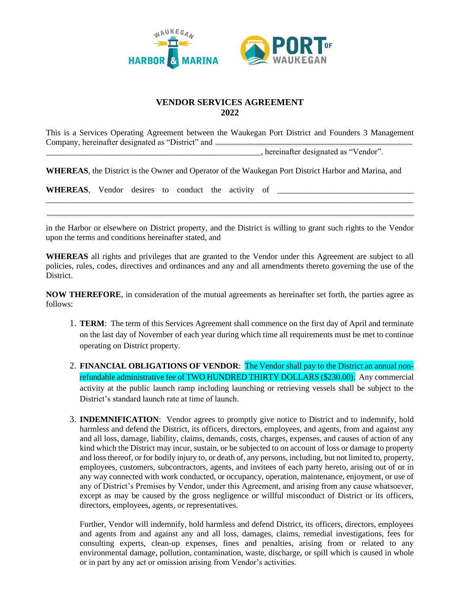

## **VENDOR SERVICES AGREEMENT 2022**

This is a Services Operating Agreement between the Waukegan Port District and Founders 3 Management Company, hereinafter designated as "District" and

\_\_\_\_\_\_\_\_\_\_\_\_\_\_\_\_\_\_\_\_\_\_\_\_\_\_\_\_\_\_\_\_\_\_\_\_\_\_\_\_\_\_\_\_\_\_\_\_\_\_\_\_, hereinafter designated as "Vendor".

**WHEREAS**, the District is the Owner and Operator of the Waukegan Port District Harbor and Marina, and

| <b>WHEREAS</b> , Vendor desires to conduct the activity of |  |  |  |  |
|------------------------------------------------------------|--|--|--|--|
|                                                            |  |  |  |  |

in the Harbor or elsewhere on District property, and the District is willing to grant such rights to the Vendor upon the terms and conditions hereinafter stated, and

\_\_\_\_\_\_\_\_\_\_\_\_\_\_\_\_\_\_\_\_\_\_\_\_\_\_\_\_\_\_\_\_\_\_\_\_\_\_\_\_\_\_\_\_\_\_\_\_\_\_\_\_\_\_\_\_\_\_\_\_\_\_\_\_\_\_\_\_\_\_\_\_\_\_\_\_\_\_\_\_\_\_\_\_\_\_\_\_\_

**WHEREAS** all rights and privileges that are granted to the Vendor under this Agreement are subject to all policies, rules, codes, directives and ordinances and any and all amendments thereto governing the use of the District.

**NOW THEREFORE**, in consideration of the mutual agreements as hereinafter set forth, the parties agree as follows:

- 1. **TERM**: The term of this Services Agreement shall commence on the first day of April and terminate on the last day of November of each year during which time all requirements must be met to continue operating on District property.
- 2. **FINANCIAL OBLIGATIONS OF VENDOR**: The Vendor shall pay to the District an annual nonrefundable administrative fee of TWO HUNDRED THIRTY DOLLARS (\$230.00). Any commercial activity at the public launch ramp including launching or retrieving vessels shall be subject to the District's standard launch rate at time of launch.
- 3. **INDEMNIFICATION**: Vendor agrees to promptly give notice to District and to indemnify, hold harmless and defend the District, its officers, directors, employees, and agents, from and against any and all loss, damage, liability, claims, demands, costs, charges, expenses, and causes of action of any kind which the District may incur, sustain, or be subjected to on account of loss or damage to property and loss thereof, or for bodily injury to, or death of, any persons, including, but not limited to, property, employees, customers, subcontractors, agents, and invitees of each party hereto, arising out of or in any way connected with work conducted, or occupancy, operation, maintenance, enjoyment, or use of any of District's Premises by Vendor, under this Agreement, and arising from any cause whatsoever, except as may be caused by the gross negligence or willful misconduct of District or its officers, directors, employees, agents, or representatives.

Further, Vendor will indemnify, hold harmless and defend District, its officers, directors, employees and agents from and against any and all loss, damages, claims, remedial investigations, fees for consulting experts, clean-up expenses, fines and penalties, arising from or related to any environmental damage, pollution, contamination, waste, discharge, or spill which is caused in whole or in part by any act or omission arising from Vendor's activities.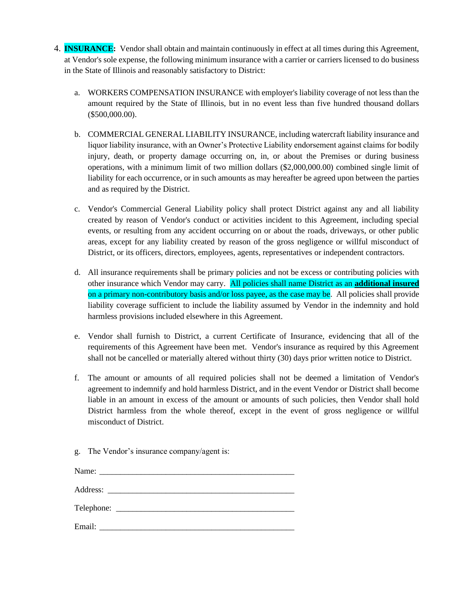- 4. **INSURANCE:** Vendor shall obtain and maintain continuously in effect at all times during this Agreement, at Vendor's sole expense, the following minimum insurance with a carrier or carriers licensed to do business in the State of Illinois and reasonably satisfactory to District:
	- a. WORKERS COMPENSATION INSURANCE with employer's liability coverage of not less than the amount required by the State of Illinois, but in no event less than five hundred thousand dollars (\$500,000.00).
	- b. COMMERCIAL GENERAL LIABILITY INSURANCE, including watercraft liability insurance and liquor liability insurance, with an Owner's Protective Liability endorsement against claims for bodily injury, death, or property damage occurring on, in, or about the Premises or during business operations, with a minimum limit of two million dollars (\$2,000,000.00) combined single limit of liability for each occurrence, or in such amounts as may hereafter be agreed upon between the parties and as required by the District.
	- c. Vendor's Commercial General Liability policy shall protect District against any and all liability created by reason of Vendor's conduct or activities incident to this Agreement, including special events, or resulting from any accident occurring on or about the roads, driveways, or other public areas, except for any liability created by reason of the gross negligence or willful misconduct of District, or its officers, directors, employees, agents, representatives or independent contractors.
	- d. All insurance requirements shall be primary policies and not be excess or contributing policies with other insurance which Vendor may carry. All policies shall name District as an **additional insured** on a primary non-contributory basis and/or loss payee, as the case may be. All policies shall provide liability coverage sufficient to include the liability assumed by Vendor in the indemnity and hold harmless provisions included elsewhere in this Agreement.
	- e. Vendor shall furnish to District, a current Certificate of Insurance, evidencing that all of the requirements of this Agreement have been met. Vendor's insurance as required by this Agreement shall not be cancelled or materially altered without thirty (30) days prior written notice to District.
	- f. The amount or amounts of all required policies shall not be deemed a limitation of Vendor's agreement to indemnify and hold harmless District, and in the event Vendor or District shall become liable in an amount in excess of the amount or amounts of such policies, then Vendor shall hold District harmless from the whole thereof, except in the event of gross negligence or willful misconduct of District.
	- g. The Vendor's insurance company/agent is:

| Email: |  |  |  |
|--------|--|--|--|